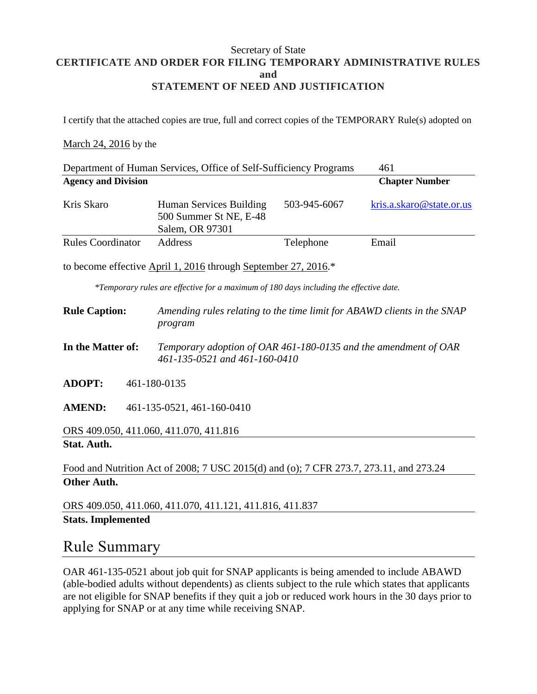### Secretary of State **CERTIFICATE AND ORDER FOR FILING TEMPORARY ADMINISTRATIVE RULES and STATEMENT OF NEED AND JUSTIFICATION**

I certify that the attached copies are true, full and correct copies of the TEMPORARY Rule(s) adopted on

#### March 24, 2016 by the

|                                                                                        | Department of Human Services, Office of Self-Sufficiency Programs                                |              | 461                      |
|----------------------------------------------------------------------------------------|--------------------------------------------------------------------------------------------------|--------------|--------------------------|
| <b>Agency and Division</b>                                                             |                                                                                                  |              | <b>Chapter Number</b>    |
| Kris Skaro                                                                             | Human Services Building<br>500 Summer St NE, E-48<br>Salem, OR 97301                             | 503-945-6067 | kris.a.skaro@state.or.us |
| <b>Rules Coordinator</b>                                                               | Address                                                                                          | Telephone    | Email                    |
|                                                                                        | to become effective April 1, 2016 through September 27, 2016.*                                   |              |                          |
|                                                                                        | *Temporary rules are effective for a maximum of 180 days including the effective date.           |              |                          |
| <b>Rule Caption:</b>                                                                   | Amending rules relating to the time limit for ABAWD clients in the SNAP<br>program               |              |                          |
| In the Matter of:                                                                      | Temporary adoption of OAR 461-180-0135 and the amendment of OAR<br>461-135-0521 and 461-160-0410 |              |                          |
| <b>ADOPT:</b>                                                                          | 461-180-0135                                                                                     |              |                          |
| <b>AMEND:</b><br>461-135-0521, 461-160-0410                                            |                                                                                                  |              |                          |
| ORS 409.050, 411.060, 411.070, 411.816                                                 |                                                                                                  |              |                          |
| <b>Stat. Auth.</b>                                                                     |                                                                                                  |              |                          |
| Food and Nutrition Act of 2008; 7 USC 2015(d) and (o); 7 CFR 273.7, 273.11, and 273.24 |                                                                                                  |              |                          |
| <b>Other Auth.</b>                                                                     |                                                                                                  |              |                          |
|                                                                                        | ORS 409.050, 411.060, 411.070, 411.121, 411.816, 411.837                                         |              |                          |

**Stats. Implemented**

### Rule Summary

OAR 461-135-0521 about job quit for SNAP applicants is being amended to include ABAWD (able-bodied adults without dependents) as clients subject to the rule which states that applicants are not eligible for SNAP benefits if they quit a job or reduced work hours in the 30 days prior to applying for SNAP or at any time while receiving SNAP.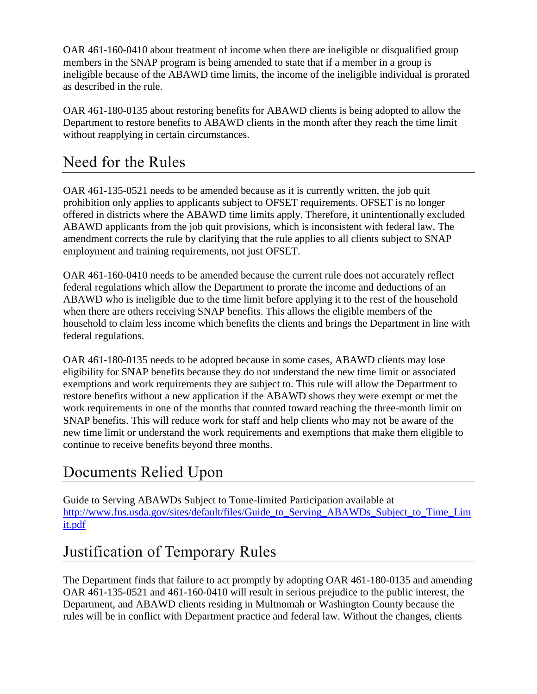OAR 461-160-0410 about treatment of income when there are ineligible or disqualified group members in the SNAP program is being amended to state that if a member in a group is ineligible because of the ABAWD time limits, the income of the ineligible individual is prorated as described in the rule.

OAR 461-180-0135 about restoring benefits for ABAWD clients is being adopted to allow the Department to restore benefits to ABAWD clients in the month after they reach the time limit without reapplying in certain circumstances.

## Need for the Rules

OAR 461-135-0521 needs to be amended because as it is currently written, the job quit prohibition only applies to applicants subject to OFSET requirements. OFSET is no longer offered in districts where the ABAWD time limits apply. Therefore, it unintentionally excluded ABAWD applicants from the job quit provisions, which is inconsistent with federal law. The amendment corrects the rule by clarifying that the rule applies to all clients subject to SNAP employment and training requirements, not just OFSET.

OAR 461-160-0410 needs to be amended because the current rule does not accurately reflect federal regulations which allow the Department to prorate the income and deductions of an ABAWD who is ineligible due to the time limit before applying it to the rest of the household when there are others receiving SNAP benefits. This allows the eligible members of the household to claim less income which benefits the clients and brings the Department in line with federal regulations.

OAR 461-180-0135 needs to be adopted because in some cases, ABAWD clients may lose eligibility for SNAP benefits because they do not understand the new time limit or associated exemptions and work requirements they are subject to. This rule will allow the Department to restore benefits without a new application if the ABAWD shows they were exempt or met the work requirements in one of the months that counted toward reaching the three-month limit on SNAP benefits. This will reduce work for staff and help clients who may not be aware of the new time limit or understand the work requirements and exemptions that make them eligible to continue to receive benefits beyond three months.

## Documents Relied Upon

Guide to Serving ABAWDs Subject to Tome-limited Participation available at http://www.fns.usda.gov/sites/default/files/Guide to Serving ABAWDs Subject to Time Lim [it.pdf](http://www.fns.usda.gov/sites/default/files/Guide_to_Serving_ABAWDs_Subject_to_Time_Limit.pdf)

# Justification of Temporary Rules

The Department finds that failure to act promptly by adopting OAR 461-180-0135 and amending OAR 461-135-0521 and 461-160-0410 will result in serious prejudice to the public interest, the Department, and ABAWD clients residing in Multnomah or Washington County because the rules will be in conflict with Department practice and federal law. Without the changes, clients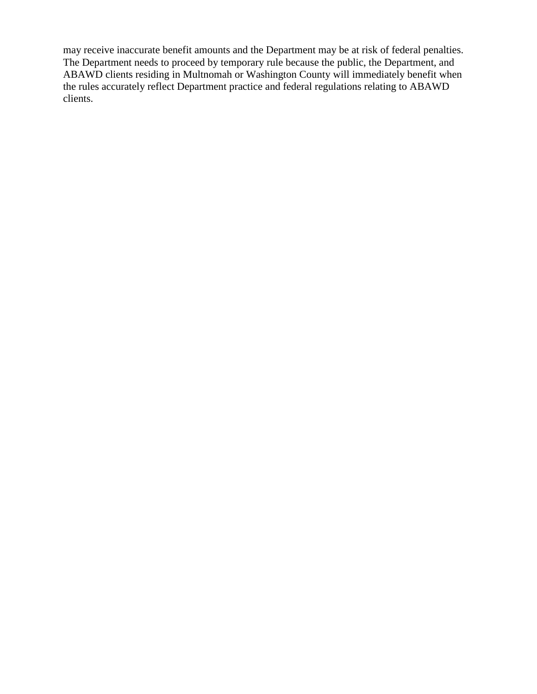may receive inaccurate benefit amounts and the Department may be at risk of federal penalties. The Department needs to proceed by temporary rule because the public, the Department, and ABAWD clients residing in Multnomah or Washington County will immediately benefit when the rules accurately reflect Department practice and federal regulations relating to ABAWD clients.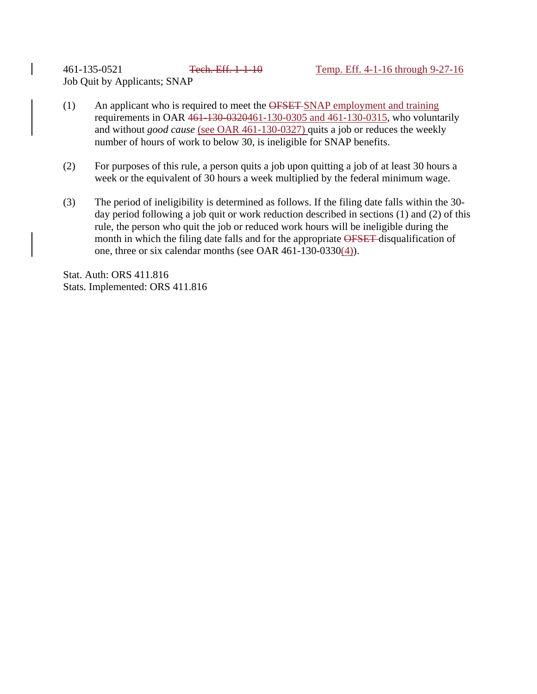461-135-0521 Tech. Eff. 1-1-10 Temp. Eff. 4-1-16 through 9-27-16 Job Quit by Applicants; SNAP

- (1) An applicant who is required to meet the OFSET SNAP employment and training requirements in OAR 461-130-0320461-130-0305 and 461-130-0315, who voluntarily and without *good cause* (see OAR 461-130-0327) quits a job or reduces the weekly number of hours of work to below 30, is ineligible for SNAP benefits.
- (2) For purposes of this rule, a person quits a job upon quitting a job of at least 30 hours a week or the equivalent of 30 hours a week multiplied by the federal minimum wage.
- (3) The period of ineligibility is determined as follows. If the filing date falls within the 30 day period following a job quit or work reduction described in sections (1) and (2) of this rule, the person who quit the job or reduced work hours will be ineligible during the month in which the filing date falls and for the appropriate OFSET disqualification of one, three or six calendar months (see OAR 461-130-0330(4)).

Stat. Auth: ORS 411.816 Stats. Implemented: ORS 411.816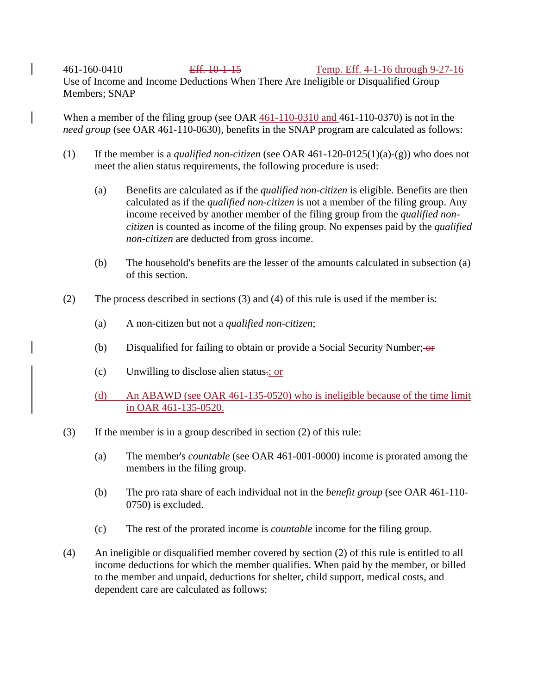461-160-0410 Eff. 10-1-15 Temp. Eff. 4-1-16 through 9-27-16 Use of Income and Income Deductions When There Are Ineligible or Disqualified Group Members; SNAP

When a member of the filing group (see OAR 461-110-0310 and 461-110-0370) is not in the *need group* (see OAR 461-110-0630), benefits in the SNAP program are calculated as follows:

- (1) If the member is a *qualified non-citizen* (see OAR 461-120-0125(1)(a)-(g)) who does not meet the alien status requirements, the following procedure is used:
	- (a) Benefits are calculated as if the *qualified non-citizen* is eligible. Benefits are then calculated as if the *qualified non-citizen* is not a member of the filing group. Any income received by another member of the filing group from the *qualified noncitizen* is counted as income of the filing group. No expenses paid by the *qualified non-citizen* are deducted from gross income.
	- (b) The household's benefits are the lesser of the amounts calculated in subsection (a) of this section.
- (2) The process described in sections (3) and (4) of this rule is used if the member is:
	- (a) A non-citizen but not a *qualified non-citizen*;
	- (b) Disqualified for failing to obtain or provide a Social Security Number;  $\Theta$
	- (c) Unwilling to disclose alien status.; or
	- (d) An ABAWD (see OAR 461-135-0520) who is ineligible because of the time limit in OAR 461-135-0520.
- (3) If the member is in a group described in section (2) of this rule:
	- (a) The member's *countable* (see OAR 461-001-0000) income is prorated among the members in the filing group.
	- (b) The pro rata share of each individual not in the *benefit group* (see OAR 461-110- 0750) is excluded.
	- (c) The rest of the prorated income is *countable* income for the filing group.
- (4) An ineligible or disqualified member covered by section (2) of this rule is entitled to all income deductions for which the member qualifies. When paid by the member, or billed to the member and unpaid, deductions for shelter, child support, medical costs, and dependent care are calculated as follows: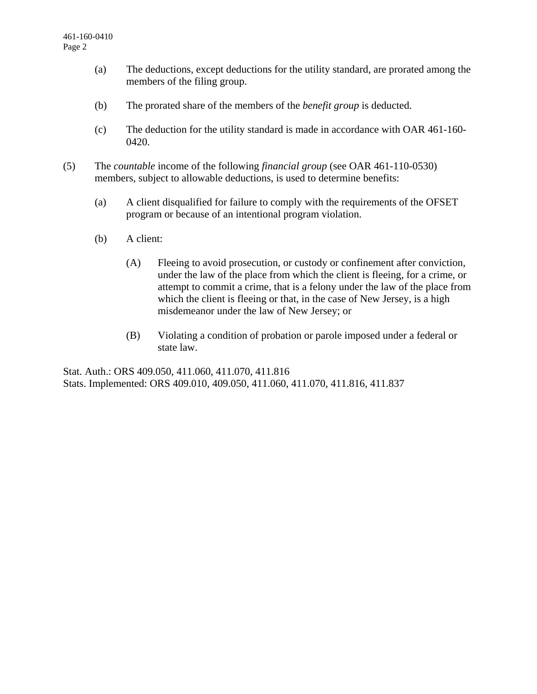- (a) The deductions, except deductions for the utility standard, are prorated among the members of the filing group.
- (b) The prorated share of the members of the *benefit group* is deducted.
- (c) The deduction for the utility standard is made in accordance with OAR 461-160- 0420.
- (5) The *countable* income of the following *financial group* (see OAR 461-110-0530) members, subject to allowable deductions, is used to determine benefits:
	- (a) A client disqualified for failure to comply with the requirements of the OFSET program or because of an intentional program violation.
	- (b) A client:
		- (A) Fleeing to avoid prosecution, or custody or confinement after conviction, under the law of the place from which the client is fleeing, for a crime, or attempt to commit a crime, that is a felony under the law of the place from which the client is fleeing or that, in the case of New Jersey, is a high misdemeanor under the law of New Jersey; or
		- (B) Violating a condition of probation or parole imposed under a federal or state law.

Stat. Auth.: ORS 409.050, 411.060, 411.070, 411.816 Stats. Implemented: ORS 409.010, 409.050, 411.060, 411.070, 411.816, 411.837